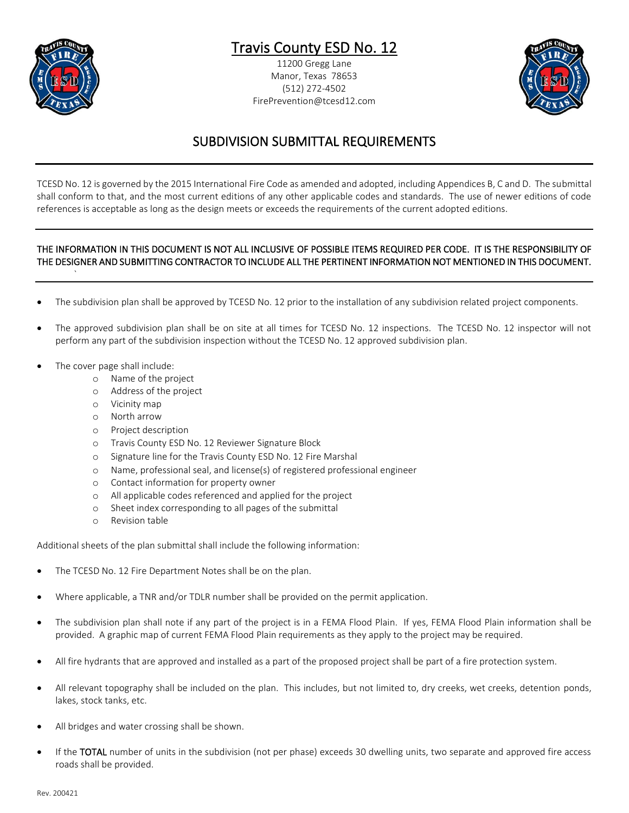

## Travis County ESD No. 12

11200 Gregg Lane Manor, Texas 78653 (512) 272-4502 FirePrevention@tcesd12.com



## SUBDIVISION SUBMITTAL REQUIREMENTS

TCESD No. 12 is governed by the 2015 International Fire Code as amended and adopted, including Appendices B, C and D. The submittal shall conform to that, and the most current editions of any other applicable codes and standards. The use of newer editions of code references is acceptable as long as the design meets or exceeds the requirements of the current adopted editions.

## THE INFORMATION IN THIS DOCUMENT IS NOT ALL INCLUSIVE OF POSSIBLE ITEMS REQUIRED PER CODE. IT IS THE RESPONSIBILITY OF THE DESIGNER AND SUBMITTING CONTRACTOR TO INCLUDE ALL THE PERTINENT INFORMATION NOT MENTIONED IN THIS DOCUMENT.

- The subdivision plan shall be approved by TCESD No. 12 prior to the installation of any subdivision related project components.
- The approved subdivision plan shall be on site at all times for TCESD No. 12 inspections. The TCESD No. 12 inspector will not perform any part of the subdivision inspection without the TCESD No. 12 approved subdivision plan.
- The cover page shall include:

`

- o Name of the project
- o Address of the project
- o Vicinity map
- o North arrow
- o Project description
- o Travis County ESD No. 12 Reviewer Signature Block
- o Signature line for the Travis County ESD No. 12 Fire Marshal
- o Name, professional seal, and license(s) of registered professional engineer
- o Contact information for property owner
- o All applicable codes referenced and applied for the project
- o Sheet index corresponding to all pages of the submittal
- o Revision table

Additional sheets of the plan submittal shall include the following information:

- The TCESD No. 12 Fire Department Notes shall be on the plan.
- Where applicable, a TNR and/or TDLR number shall be provided on the permit application.
- The subdivision plan shall note if any part of the project is in a FEMA Flood Plain. If yes, FEMA Flood Plain information shall be provided. A graphic map of current FEMA Flood Plain requirements as they apply to the project may be required.
- All fire hydrants that are approved and installed as a part of the proposed project shall be part of a fire protection system.
- All relevant topography shall be included on the plan. This includes, but not limited to, dry creeks, wet creeks, detention ponds, lakes, stock tanks, etc.
- All bridges and water crossing shall be shown.
- If the TOTAL number of units in the subdivision (not per phase) exceeds 30 dwelling units, two separate and approved fire access roads shall be provided.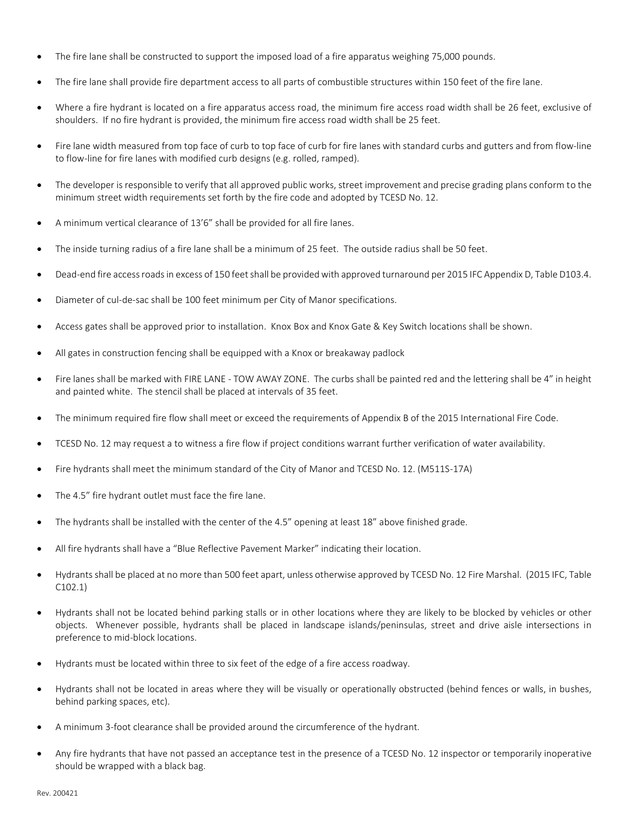- The fire lane shall be constructed to support the imposed load of a fire apparatus weighing 75,000 pounds.
- The fire lane shall provide fire department access to all parts of combustible structures within 150 feet of the fire lane.
- Where a fire hydrant is located on a fire apparatus access road, the minimum fire access road width shall be 26 feet, exclusive of shoulders. If no fire hydrant is provided, the minimum fire access road width shall be 25 feet.
- Fire lane width measured from top face of curb to top face of curb for fire lanes with standard curbs and gutters and from flow-line to flow-line for fire lanes with modified curb designs (e.g. rolled, ramped).
- The developer is responsible to verify that all approved public works, street improvement and precise grading plans conform to the minimum street width requirements set forth by the fire code and adopted by TCESD No. 12.
- A minimum vertical clearance of 13'6" shall be provided for all fire lanes.
- The inside turning radius of a fire lane shall be a minimum of 25 feet. The outside radius shall be 50 feet.
- Dead-end fire access roads in excess of 150 feet shall be provided with approved turnaround per 2015 IFC Appendix D, Table D103.4.
- Diameter of cul-de-sac shall be 100 feet minimum per City of Manor specifications.
- Access gates shall be approved prior to installation. Knox Box and Knox Gate & Key Switch locations shall be shown.
- All gates in construction fencing shall be equipped with a Knox or breakaway padlock
- Fire lanes shall be marked with FIRE LANE TOW AWAY ZONE. The curbs shall be painted red and the lettering shall be 4" in height and painted white. The stencil shall be placed at intervals of 35 feet.
- The minimum required fire flow shall meet or exceed the requirements of Appendix B of the 2015 International Fire Code.
- TCESD No. 12 may request a to witness a fire flow if project conditions warrant further verification of water availability.
- Fire hydrants shall meet the minimum standard of the City of Manor and TCESD No. 12. (M511S-17A)
- The 4.5" fire hydrant outlet must face the fire lane.
- The hydrants shall be installed with the center of the 4.5" opening at least 18" above finished grade.
- All fire hydrants shall have a "Blue Reflective Pavement Marker" indicating their location.
- Hydrants shall be placed at no more than 500 feet apart, unless otherwise approved by TCESD No. 12 Fire Marshal. (2015 IFC, Table C102.1)
- Hydrants shall not be located behind parking stalls or in other locations where they are likely to be blocked by vehicles or other objects. Whenever possible, hydrants shall be placed in landscape islands/peninsulas, street and drive aisle intersections in preference to mid-block locations.
- Hydrants must be located within three to six feet of the edge of a fire access roadway.
- Hydrants shall not be located in areas where they will be visually or operationally obstructed (behind fences or walls, in bushes, behind parking spaces, etc).
- A minimum 3-foot clearance shall be provided around the circumference of the hydrant.
- Any fire hydrants that have not passed an acceptance test in the presence of a TCESD No. 12 inspector or temporarily inoperative should be wrapped with a black bag.